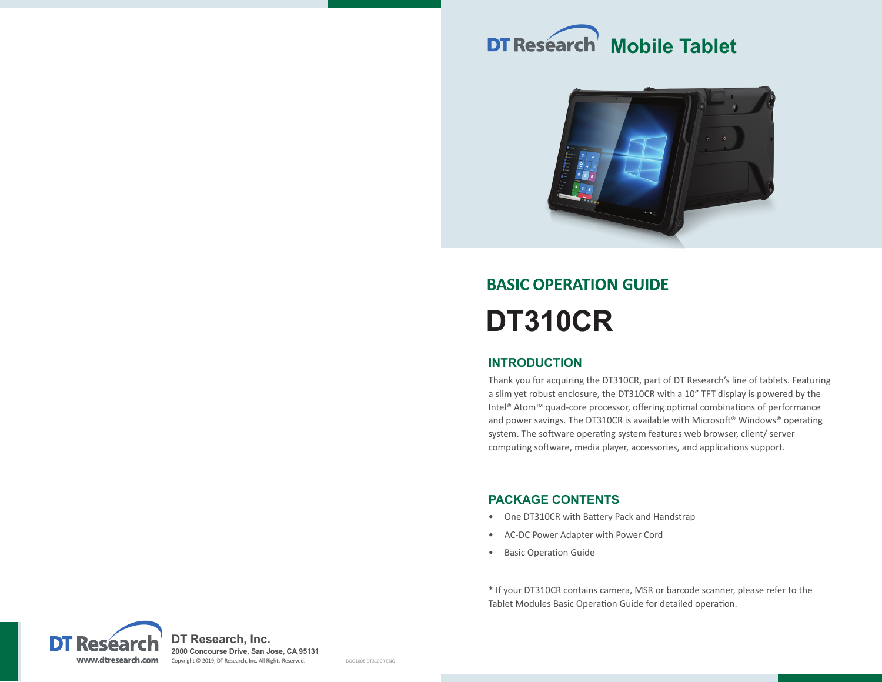



# **BASIC OPERATION GUIDE DT310CR**

# **INTRODUCTION**

Thank you for acquiring the DT310CR, part of DT Research's line of tablets. Featuring a slim yet robust enclosure, the DT310CR with a 10" TFT display is powered by the Intel® Atom™ quad-core processor, offering optimal combinations of performance and power savings. The DT310CR is available with Microsoft® Windows® operating system. The software operating system features web browser, client/ server computing software, media player, accessories, and applications support.

# **PACKAGE CONTENTS**

- One DT310CR with Battery Pack and Handstrap
- AC-DC Power Adapter with Power Cord
- Basic Operation Guide

\* If your DT310CR contains camera, MSR or barcode scanner, please refer to the Tablet Modules Basic Operation Guide for detailed operation.

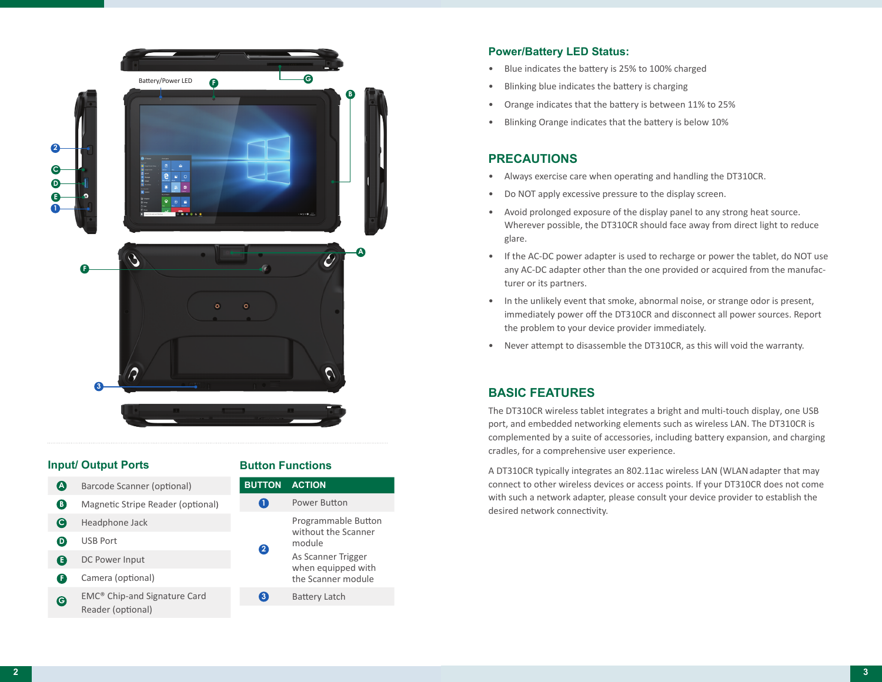

## **Input/ Output Ports**

| Œ        | Barcode Scanner (optional)               |  | <b>BUTTON</b>    | <b>ACTION</b>                                                  |
|----------|------------------------------------------|--|------------------|----------------------------------------------------------------|
| B.       | Magnetic Stripe Reader (optional)        |  | $\mathbf{1}$     | Power Button                                                   |
| <b>C</b> | Headphone Jack                           |  | 2                | Programmable Button<br>without the Scanner<br>module           |
| D        | <b>USB Port</b>                          |  |                  |                                                                |
| E        | DC Power Input                           |  |                  | As Scanner Trigger<br>when equipped with<br>the Scanner module |
| F        | Camera (optional)                        |  |                  |                                                                |
| G        | EMC <sup>®</sup> Chip-and Signature Card |  | $\left(3\right)$ | <b>Battery Latch</b>                                           |
|          | Reader (optional)                        |  |                  |                                                                |

**Button Functions** 

# **Power/Battery LED Status:**

- Blue indicates the battery is 25% to 100% charged
- Blinking blue indicates the battery is charging
- Orange indicates that the battery is between 11% to 25%
- Blinking Orange indicates that the battery is below 10%

# **PRECAUTIONS**

- Always exercise care when operating and handling the DT310CR.
- Do NOT apply excessive pressure to the display screen.
- Avoid prolonged exposure of the display panel to any strong heat source. Wherever possible, the DT310CR should face away from direct light to reduce glare.
- If the AC-DC power adapter is used to recharge or power the tablet, do NOT use any AC-DC adapter other than the one provided or acquired from the manufacturer or its partners.
- In the unlikely event that smoke, abnormal noise, or strange odor is present, immediately power off the DT310CR and disconnect all power sources. Report the problem to your device provider immediately.
- Never attempt to disassemble the DT310CR, as this will void the warranty.

# **BASIC FEATURES**

The DT310CR wireless tablet integrates a bright and multi-touch display, one USB port, and embedded networking elements such as wireless LAN. The DT310CR is complemented by a suite of accessories, including battery expansion, and charging cradles, for a comprehensive user experience.

A DT310CR typically integrates an 802.11ac wireless LAN (WLAN adapter that may connect to other wireless devices or access points. If your DT310CR does not come with such a network adapter, please consult your device provider to establish the desired network connectivity.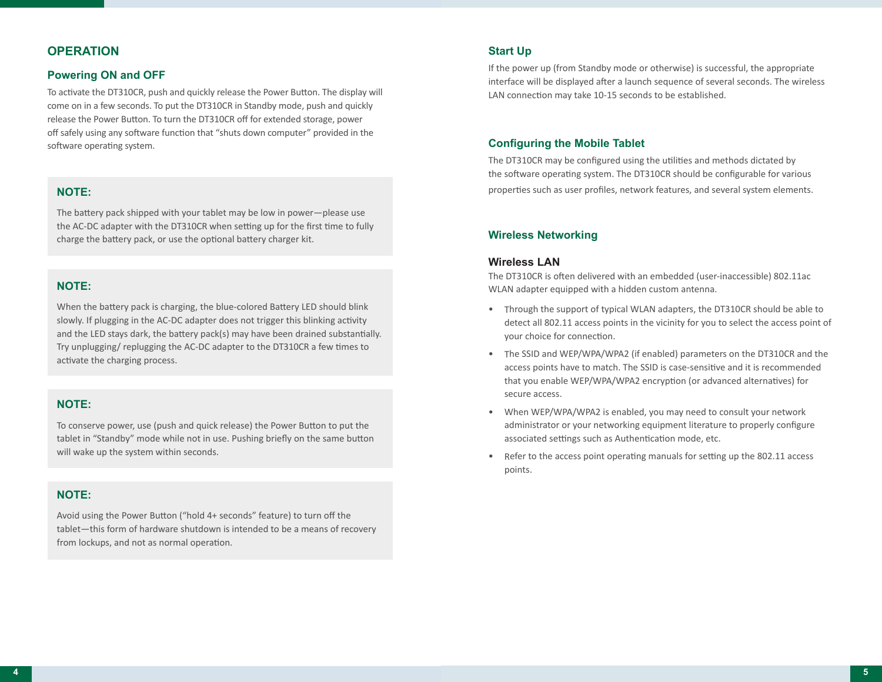# **OPERATION**

#### **Powering ON and OFF**

To activate the DT310CR, push and quickly release the Power Button. The display will come on in a few seconds. To put the DT310CR in Standby mode, push and quickly release the Power Button. To turn the DT310CR off for extended storage, power off safely using any software function that "shuts down computer" provided in the software operating system.

### **NOTE:**

The battery pack shipped with your tablet may be low in power—please use the AC-DC adapter with the DT310CR when setting up for the first time to fully charge the battery pack, or use the optional battery charger kit.

# **NOTE:**

When the battery pack is charging, the blue-colored Battery LED should blink slowly. If plugging in the AC-DC adapter does not trigger this blinking activity and the LED stays dark, the battery pack(s) may have been drained substantially. Try unplugging/ replugging the AC-DC adapter to the DT310CR a few times to activate the charging process.

## **NOTE:**

To conserve power, use (push and quick release) the Power Button to put the tablet in "Standby" mode while not in use. Pushing briefly on the same button will wake up the system within seconds.

## **NOTE:**

Avoid using the Power Button ("hold 4+ seconds" feature) to turn off the tablet—this form of hardware shutdown is intended to be a means of recovery from lockups, and not as normal operation.

#### **Start Up**

If the power up (from Standby mode or otherwise) is successful, the appropriate interface will be displayed after a launch sequence of several seconds. The wireless LAN connection may take 10-15 seconds to be established.

## **Configuring the Mobile Tablet**

The DT310CR may be configured using the utilities and methods dictated by the software operating system. The DT310CR should be configurable for various properties such as user profiles, network features, and several system elements.

#### **Wireless Networking**

#### **Wireless LAN**

The DT310CR is often delivered with an embedded (user-inaccessible) 802.11ac WLAN adapter equipped with a hidden custom antenna.

- Through the support of typical WLAN adapters, the DT310CR should be able to detect all 802.11 access points in the vicinity for you to select the access point of your choice for connection.
- The SSID and WEP/WPA/WPA2 (if enabled) parameters on the DT310CR and the access points have to match. The SSID is case-sensitive and it is recommended that you enable WEP/WPA/WPA2 encryption (or advanced alternatives) for secure access.
- When WEP/WPA/WPA2 is enabled, you may need to consult your network administrator or your networking equipment literature to properly configure associated settings such as Authentication mode, etc.
- Refer to the access point operating manuals for setting up the 802.11 access points.